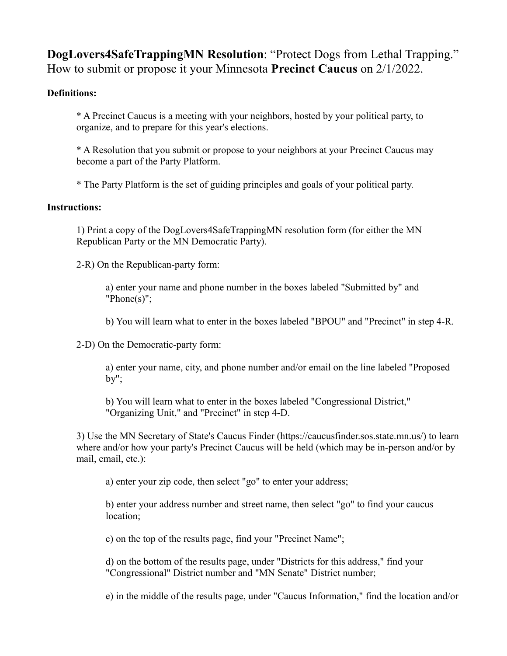**DogLovers4SafeTrappingMN Resolution**: "Protect Dogs from Lethal Trapping." How to submit or propose it your Minnesota **Precinct Caucus** on 2/1/2022.

## **Definitions:**

\* A Precinct Caucus is a meeting with your neighbors, hosted by your political party, to organize, and to prepare for this year's elections.

\* A Resolution that you submit or propose to your neighbors at your Precinct Caucus may become a part of the Party Platform.

\* The Party Platform is the set of guiding principles and goals of your political party.

## **Instructions:**

1) Print a copy of the DogLovers4SafeTrappingMN resolution form (for either the MN Republican Party or the MN Democratic Party).

2-R) On the Republican-party form:

a) enter your name and phone number in the boxes labeled "Submitted by" and "Phone(s)";

b) You will learn what to enter in the boxes labeled "BPOU" and "Precinct" in step 4-R.

2-D) On the Democratic-party form:

a) enter your name, city, and phone number and/or email on the line labeled "Proposed by";

b) You will learn what to enter in the boxes labeled "Congressional District," "Organizing Unit," and "Precinct" in step 4-D.

3) Use the MN Secretary of State's Caucus Finder (https://caucusfinder.sos.state.mn.us/) to learn where and/or how your party's Precinct Caucus will be held (which may be in-person and/or by mail, email, etc.):

a) enter your zip code, then select "go" to enter your address;

b) enter your address number and street name, then select "go" to find your caucus location;

c) on the top of the results page, find your "Precinct Name";

d) on the bottom of the results page, under "Districts for this address," find your "Congressional" District number and "MN Senate" District number;

e) in the middle of the results page, under "Caucus Information," find the location and/or